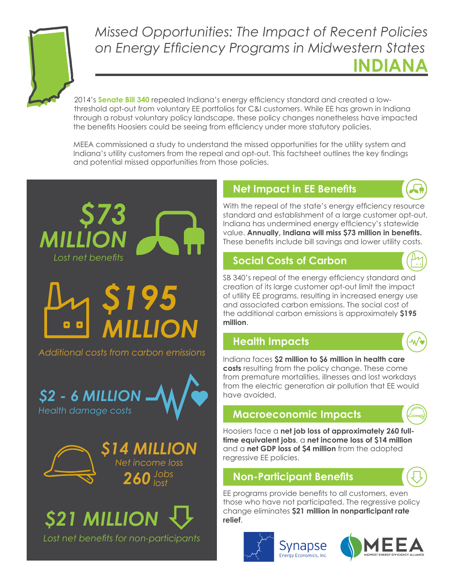

# **INDIANA** *Missed Opportunities: The Impact of Recent Policies on Energy Efficiency Programs in Midwestern States*

2014's **Senate Bill 340** repealed Indiana's energy efficiency standard and created a lowthreshold opt-out from voluntary EE portfolios for C&I customers. While EE has grown in Indiana through a robust voluntary policy landscape, these policy changes nonetheless have impacted the benefits Hoosiers could be seeing from efficiency under more statutory policies.

MEEA commissioned a study to understand the missed opportunities for the utility system and Indiana's utility customers from the repeal and opt-out. This factsheet outlines the key findings and potential missed opportunities from those policies.



#### **Net Impact in EE Benefits**



With the repeal of the state's energy efficiency resource standard and establishment of a large customer opt-out, Indiana has undermined energy efficiency's statewide value. **Annually, Indiana will miss \$73 million in benefits.** These benefits include bill savings and lower utility costs.

#### **Social Costs of Carbon**



SB 340's repeal of the energy efficiency standard and creation of its large customer opt-out limit the impact of utility EE programs, resulting in increased energy use and associated carbon emissions. The social cost of the additional carbon emissions is approximately **\$195 million**.

#### **Health Impacts**

Indiana faces **\$2 million to \$6 million in health care costs** resulting from the policy change. These come from premature mortalities, illnesses and lost workdays from the electric generation air pollution that EE would have avoided.

### **Macroeconomic Impacts**

Hoosiers face a **net job loss of approximately 260 fulltime equivalent jobs**, a **net income loss of \$14 million** and a **net GDP loss of \$4 million** from the adopted regressive EE policies.

## **Non-Participant Benefits**

EE programs provide benefits to all customers, even those who have not participated. The regressive policy change eliminates **\$21 million in nonparticipant rate relief**.